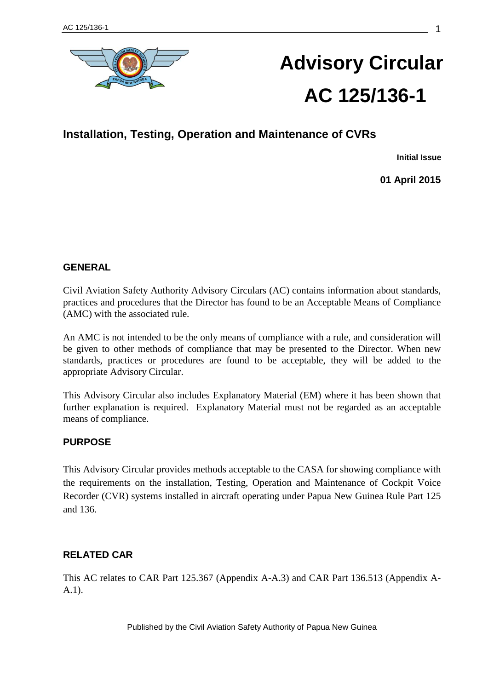

# **Advisory Circular AC 125/136-1**

# **Installation, Testing, Operation and Maintenance of CVRs**

**Initial Issue**

**01 April 2015**

# **GENERAL**

Civil Aviation Safety Authority Advisory Circulars (AC) contains information about standards, practices and procedures that the Director has found to be an Acceptable Means of Compliance (AMC) with the associated rule.

An AMC is not intended to be the only means of compliance with a rule, and consideration will be given to other methods of compliance that may be presented to the Director. When new standards, practices or procedures are found to be acceptable, they will be added to the appropriate Advisory Circular.

This Advisory Circular also includes Explanatory Material (EM) where it has been shown that further explanation is required. Explanatory Material must not be regarded as an acceptable means of compliance.

# **PURPOSE**

This Advisory Circular provides methods acceptable to the CASA for showing compliance with the requirements on the installation, Testing, Operation and Maintenance of Cockpit Voice Recorder (CVR) systems installed in aircraft operating under Papua New Guinea Rule Part 125 and 136.

# **RELATED CAR**

This AC relates to CAR Part 125.367 (Appendix A-A.3) and CAR Part 136.513 (Appendix A-A.1).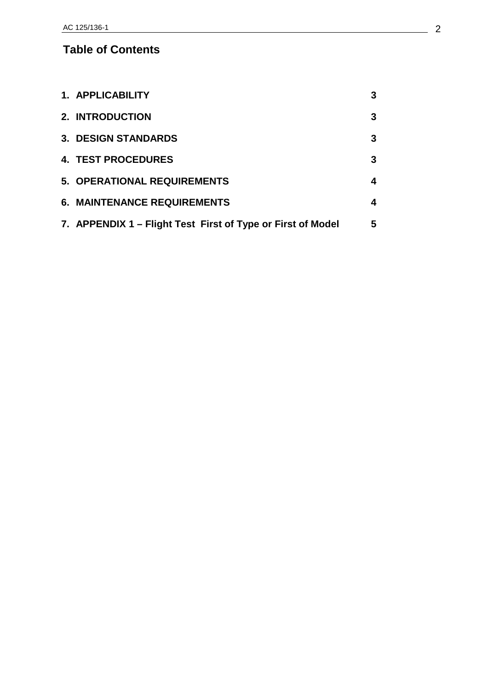# **Table of Contents**

| 1. APPLICABILITY                                            | 3 |
|-------------------------------------------------------------|---|
| 2. INTRODUCTION                                             | 3 |
| <b>3. DESIGN STANDARDS</b>                                  | 3 |
| <b>4. TEST PROCEDURES</b>                                   | 3 |
| 5. OPERATIONAL REQUIREMENTS                                 | 4 |
| <b>6. MAINTENANCE REQUIREMENTS</b>                          | 4 |
| 7. APPENDIX 1 – Flight Test First of Type or First of Model | 5 |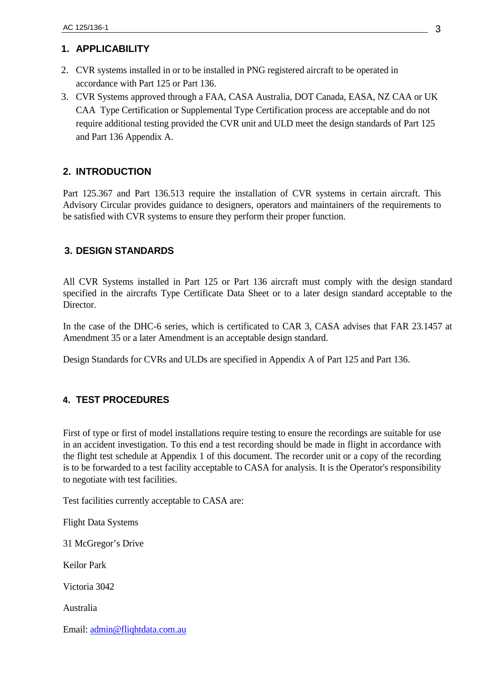# **1. APPLICABILITY**

- 2. CVR systems installed in or to be installed in PNG registered aircraft to be operated in accordance with Part 125 or Part 136.
- 3. CVR Systems approved through a FAA, CASA Australia, DOT Canada, EASA, NZ CAA or UK CAA Type Certification or Supplemental Type Certification process are acceptable and do not require additional testing provided the CVR unit and ULD meet the design standards of Part 125 and Part 136 Appendix A.

# **2. INTRODUCTION**

Part 125.367 and Part 136.513 require the installation of CVR systems in certain aircraft. This Advisory Circular provides guidance to designers, operators and maintainers of the requirements to be satisfied with CVR systems to ensure they perform their proper function.

# **3. DESIGN STANDARDS**

All CVR Systems installed in Part 125 or Part 136 aircraft must comply with the design standard specified in the aircrafts Type Certificate Data Sheet or to a later design standard acceptable to the Director.

In the case of the DHC-6 series, which is certificated to CAR 3, CASA advises that FAR 23.1457 at Amendment 35 or a later Amendment is an acceptable design standard.

Design Standards for CVRs and ULDs are specified in Appendix A of Part 125 and Part 136.

# **4. TEST PROCEDURES**

First of type or first of model installations require testing to ensure the recordings are suitable for use in an accident investigation. To this end a test recording should be made in flight in accordance with the flight test schedule at Appendix 1 of this document. The recorder unit or a copy of the recording is to be forwarded to a test facility acceptable to CASA for analysis. It is the Operator's responsibility to negotiate with test facilities.

Test facilities currently acceptable to CASA are:

Flight Data Systems

31 McGregor's Drive

Keilor Park

Victoria 3042

Australia

Email: [admin@fliqhtdata.com.au](mailto:admin@fliqhtdata.com.au)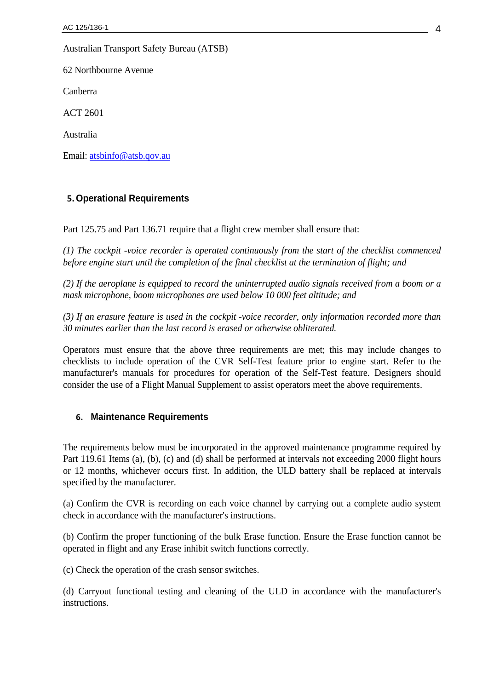Australian Transport Safety Bureau (ATSB)

62 Northbourne Avenue

Canberra

ACT 2601

Australia

Email: [atsbinfo@atsb.qov.au](mailto:atsbinfo@atsb.qov.au)

#### **5.Operational Requirements**

Part 125.75 and Part 136.71 require that a flight crew member shall ensure that:

*(1) The cockpit -voice recorder is operated continuously from the start of the checklist commenced before engine start until the completion of the final checklist at the termination of flight; and*

*(2) If the aeroplane is equipped to record the uninterrupted audio signals received from a boom or a mask microphone, boom microphones are used below 10 000 feet altitude; and*

*(3) If an erasure feature is used in the cockpit -voice recorder, only information recorded more than 30 minutes earlier than the last record is erased or otherwise obliterated.*

Operators must ensure that the above three requirements are met; this may include changes to checklists to include operation of the CVR Self-Test feature prior to engine start. Refer to the manufacturer's manuals for procedures for operation of the Self-Test feature. Designers should consider the use of a Flight Manual Supplement to assist operators meet the above requirements.

# **6. Maintenance Requirements**

The requirements below must be incorporated in the approved maintenance programme required by Part 119.61 Items (a), (b), (c) and (d) shall be performed at intervals not exceeding 2000 flight hours or 12 months, whichever occurs first. In addition, the ULD battery shall be replaced at intervals specified by the manufacturer.

(a) Confirm the CVR is recording on each voice channel by carrying out a complete audio system check in accordance with the manufacturer's instructions.

(b) Confirm the proper functioning of the bulk Erase function. Ensure the Erase function cannot be operated in flight and any Erase inhibit switch functions correctly.

(c) Check the operation of the crash sensor switches.

(d) Carryout functional testing and cleaning of the ULD in accordance with the manufacturer's instructions.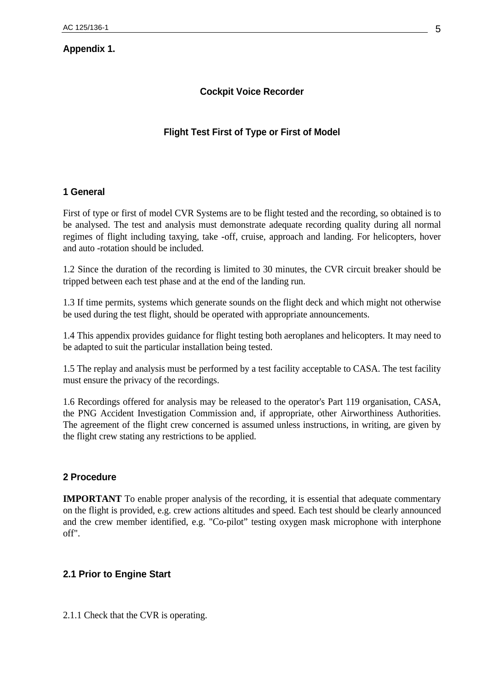# **Appendix 1.**

# **Cockpit Voice Recorder**

# **Flight Test First of Type or First of Model**

#### **1 General**

First of type or first of model CVR Systems are to be flight tested and the recording, so obtained is to be analysed. The test and analysis must demonstrate adequate recording quality during all normal regimes of flight including taxying, take -off, cruise, approach and landing. For helicopters, hover and auto -rotation should be included.

1.2 Since the duration of the recording is limited to 30 minutes, the CVR circuit breaker should be tripped between each test phase and at the end of the landing run.

1.3 If time permits, systems which generate sounds on the flight deck and which might not otherwise be used during the test flight, should be operated with appropriate announcements.

1.4 This appendix provides guidance for flight testing both aeroplanes and helicopters. It may need to be adapted to suit the particular installation being tested.

1.5 The replay and analysis must be performed by a test facility acceptable to CASA. The test facility must ensure the privacy of the recordings.

1.6 Recordings offered for analysis may be released to the operator's Part 119 organisation, CASA, the PNG Accident Investigation Commission and, if appropriate, other Airworthiness Authorities. The agreement of the flight crew concerned is assumed unless instructions, in writing, are given by the flight crew stating any restrictions to be applied.

#### **2 Procedure**

**IMPORTANT** To enable proper analysis of the recording, it is essential that adequate commentary on the flight is provided, e.g. crew actions altitudes and speed. Each test should be clearly announced and the crew member identified, e.g. "Co-pilot" testing oxygen mask microphone with interphone off".

# **2.1 Prior to Engine Start**

2.1.1 Check that the CVR is operating.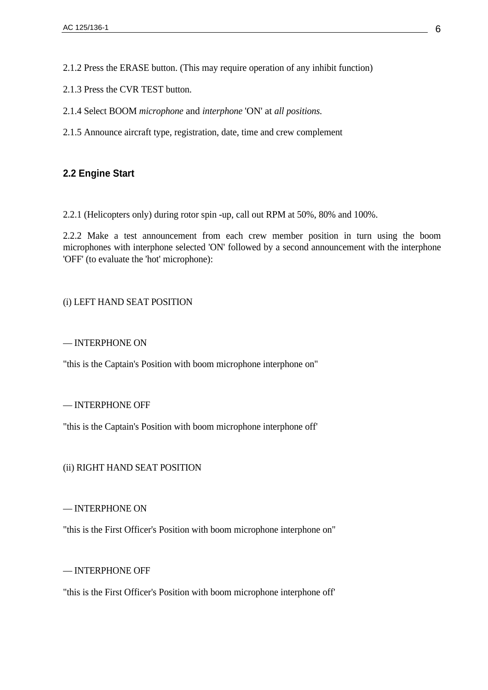2.1.2 Press the ERASE button. (This may require operation of any inhibit function)

2.1.3 Press the CVR TEST button.

- 2.1.4 Select BOOM *microphone* and *interphone* 'ON' at *all positions.*
- 2.1.5 Announce aircraft type, registration, date, time and crew complement

# **2.2 Engine Start**

2.2.1 (Helicopters only) during rotor spin -up, call out RPM at 50%, 80% and 100%.

2.2.2 Make a test announcement from each crew member position in turn using the boom microphones with interphone selected 'ON' followed by a second announcement with the interphone 'OFF' (to evaluate the 'hot' microphone):

#### (i) LEFT HAND SEAT POSITION

#### — INTERPHONE ON

"this is the Captain's Position with boom microphone interphone on"

#### — INTERPHONE OFF

"this is the Captain's Position with boom microphone interphone off'

#### (ii) RIGHT HAND SEAT POSITION

— INTERPHONE ON

"this is the First Officer's Position with boom microphone interphone on"

#### — INTERPHONE OFF

"this is the First Officer's Position with boom microphone interphone off'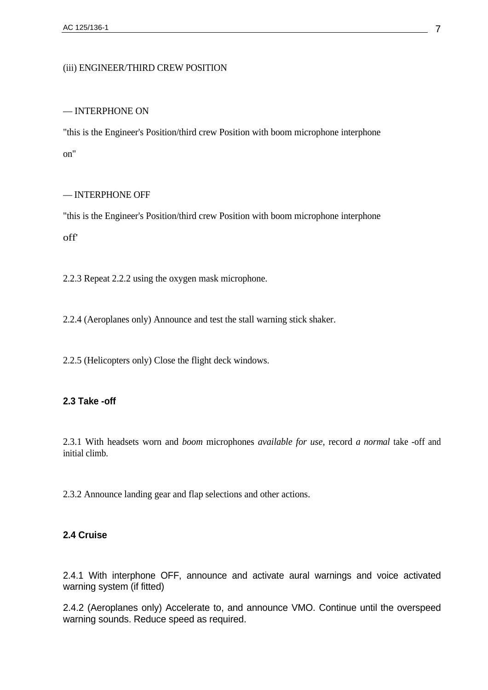#### (iii) ENGINEER/THIRD CREW POSITION

#### — INTERPHONE ON

"this is the Engineer's Position/third crew Position with boom microphone interphone on"

#### — INTERPHONE OFF

"this is the Engineer's Position/third crew Position with boom microphone interphone off'

2.2.3 Repeat 2.2.2 using the oxygen mask microphone.

2.2.4 (Aeroplanes only) Announce and test the stall warning stick shaker.

2.2.5 (Helicopters only) Close the flight deck windows.

#### **2.3 Take -off**

2.3.1 With headsets worn and *boom* microphones *available for use,* record *a normal* take -off and initial climb.

2.3.2 Announce landing gear and flap selections and other actions.

# **2.4 Cruise**

2.4.1 With interphone OFF, announce and activate aural warnings and voice activated warning system (if fitted)

2.4.2 (Aeroplanes only) Accelerate to, and announce VMO. Continue until the overspeed warning sounds. Reduce speed as required.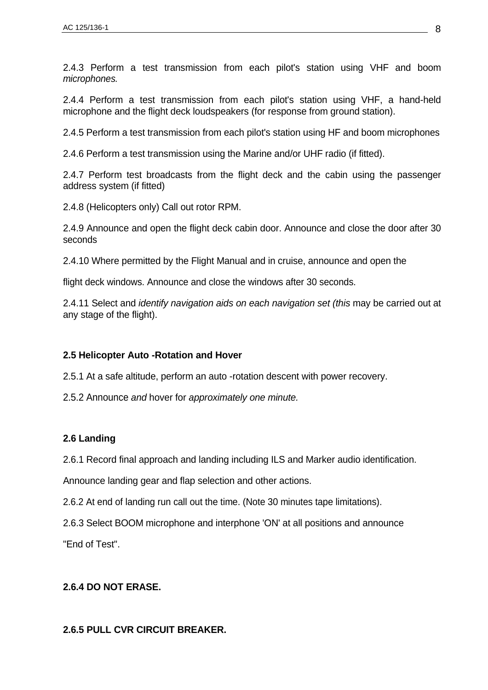2.4.3 Perform a test transmission from each pilot's station using VHF and boom *microphones.*

2.4.4 Perform a test transmission from each pilot's station using VHF, a hand-held microphone and the flight deck loudspeakers (for response from ground station).

2.4.5 Perform a test transmission from each pilot's station using HF and boom microphones

2.4.6 Perform a test transmission using the Marine and/or UHF radio (if fitted).

2.4.7 Perform test broadcasts from the flight deck and the cabin using the passenger address system (if fitted)

2.4.8 (Helicopters only) Call out rotor RPM.

2.4.9 Announce and open the flight deck cabin door. Announce and close the door after 30 seconds

2.4.10 Where permitted by the Flight Manual and in cruise, announce and open the

flight deck windows. Announce and close the windows after 30 seconds.

2.4.11 Select and *identify navigation aids on each navigation set (this* may be carried out at any stage of the flight).

# **2.5 Helicopter Auto -Rotation and Hover**

2.5.1 At a safe altitude, perform an auto -rotation descent with power recovery.

2.5.2 Announce *and* hover for *approximately one minute.*

# **2.6 Landing**

2.6.1 Record final approach and landing including ILS and Marker audio identification.

Announce landing gear and flap selection and other actions.

2.6.2 At end of landing run call out the time. (Note 30 minutes tape limitations).

2.6.3 Select BOOM microphone and interphone 'ON' at all positions and announce

"End of Test".

# **2.6.4 DO NOT ERASE.**

# **2.6.5 PULL CVR CIRCUIT BREAKER.**